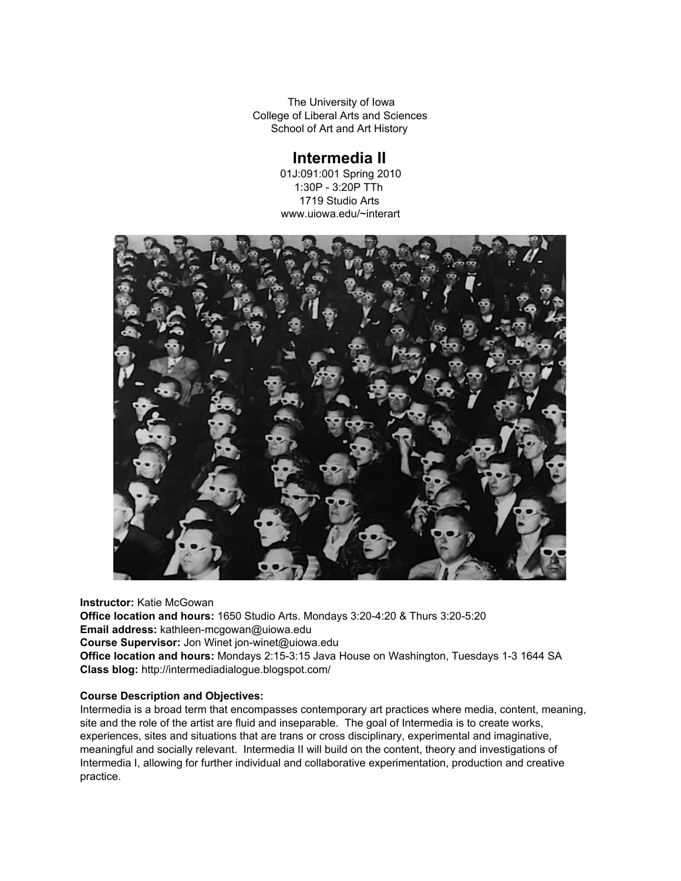The University of Iowa College of Liberal Arts and Sciences School of Art and Art History

# **Intermedia II**

01J:091:001 Spring 2010 1:30P - 3:20P TTh 1719 Studio Arts www.uiowa.edu/~interart



**Instructor:** Katie McGowan **Office location and hours:** 1650 Studio Arts. Mondays 3:20-4:20 & Thurs 3:20-5:20 **Email address: kathleen-mcgowan@uiowa.edu Course Supervisor:** Jon Winet jon-winet@uiowa.edu Office location and hours: Mondays 2:15-3:15 Java House on Washington, Tuesdays 1-3 1644 SA **Class blog:** http://intermediadialogue.blogspot.com/

# **Course Description and Objectives:**

Intermedia is a broad term that encompasses contemporary art practices where media, content, meaning, site and the role of the artist are fluid and inseparable. The goal of Intermedia is to create works, experiences, sites and situations that are trans or cross disciplinary, experimental and imaginative, meaningful and socially relevant. Intermedia II will build on the content, theory and investigations of Intermedia I, allowing for further individual and collaborative experimentation, production and creative practice.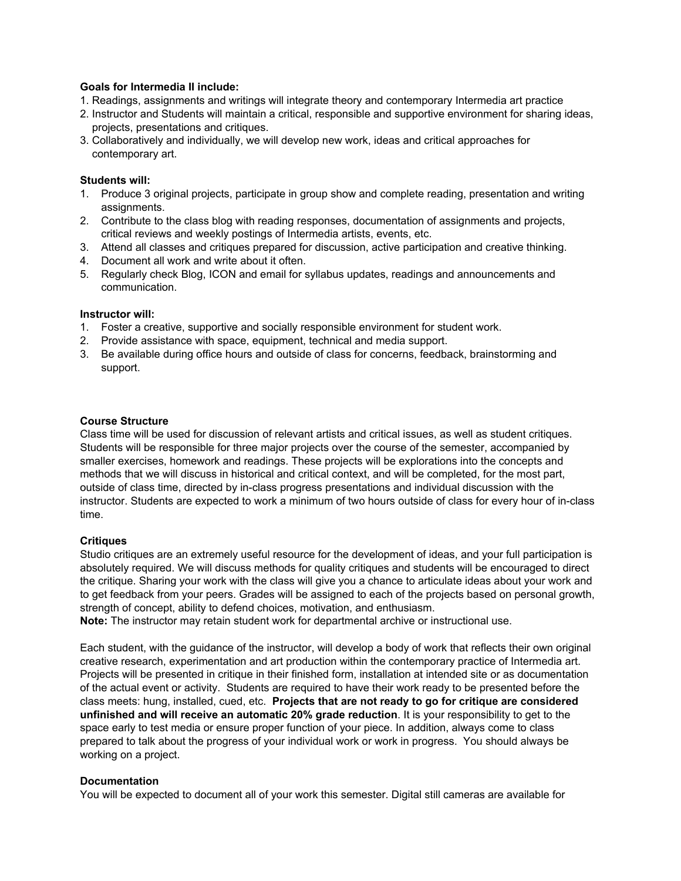# **Goals for Intermedia II include:**

- 1. Readings, assignments and writings will integrate theory and contemporary Intermedia art practice
- 2. Instructor and Students will maintain a critical, responsible and supportive environment for sharing ideas, projects, presentations and critiques.
- 3. Collaboratively and individually, we will develop new work, ideas and critical approaches for contemporary art.

# **Students will:**

- 1. Produce 3 original projects, participate in group show and complete reading, presentation and writing assignments.
- 2. Contribute to the class blog with reading responses, documentation of assignments and projects, critical reviews and weekly postings of Intermedia artists, events, etc.
- 3. Attend all classes and critiques prepared for discussion, active participation and creative thinking.
- 4. Document all work and write about it often.
- 5. Regularly check Blog, ICON and email for syllabus updates, readings and announcements and communication.

# **Instructor will:**

- 1. Foster a creative, supportive and socially responsible environment for student work.
- 2. Provide assistance with space, equipment, technical and media support.
- 3. Be available during office hours and outside of class for concerns, feedback, brainstorming and support.

# **Course Structure**

Class time will be used for discussion of relevant artists and critical issues, as well as student critiques. Students will be responsible for three major projects over the course of the semester, accompanied by smaller exercises, homework and readings. These projects will be explorations into the concepts and methods that we will discuss in historical and critical context, and will be completed, for the most part, outside of class time, directed by in-class progress presentations and individual discussion with the instructor. Students are expected to work a minimum of two hours outside of class for every hour of inclass time.

# **Critiques**

Studio critiques are an extremely useful resource for the development of ideas, and your full participation is absolutely required. We will discuss methods for quality critiques and students will be encouraged to direct the critique. Sharing your work with the class will give you a chance to articulate ideas about your work and to get feedback from your peers. Grades will be assigned to each of the projects based on personal growth, strength of concept, ability to defend choices, motivation, and enthusiasm.

**Note:** The instructor may retain student work for departmental archive or instructional use.

Each student, with the guidance of the instructor, will develop a body of work that reflects their own original creative research, experimentation and art production within the contemporary practice of Intermedia art. Projects will be presented in critique in their finished form, installation at intended site or as documentation of the actual event or activity. Students are required to have their work ready to be presented before the class meets: hung, installed, cued, etc. **Projects that are not ready to go for critique are considered unfinished and will receive an automatic 20% grade reduction**. It is your responsibility to get to the space early to test media or ensure proper function of your piece. In addition, always come to class prepared to talk about the progress of your individual work or work in progress. You should always be working on a project.

# **Documentation**

You will be expected to document all of your work this semester. Digital still cameras are available for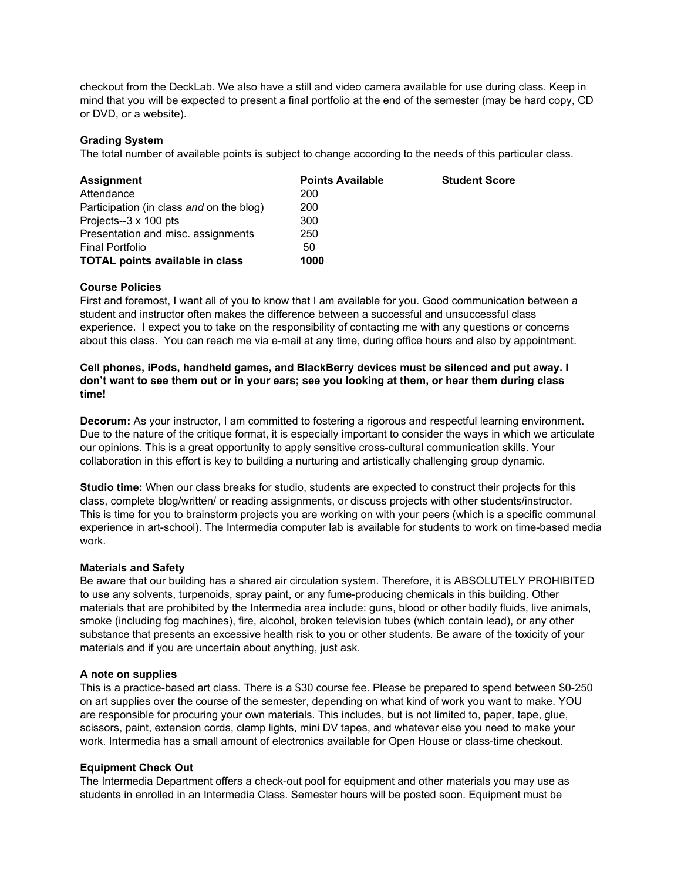checkout from the DeckLab. We also have a still and video camera available for use during class. Keep in mind that you will be expected to present a final portfolio at the end of the semester (may be hard copy, CD or DVD, or a website).

# **Grading System**

The total number of available points is subject to change according to the needs of this particular class.

| <b>Assignment</b>                        | <b>Points Available</b> | <b>Student Score</b> |
|------------------------------------------|-------------------------|----------------------|
| Attendance                               | 200                     |                      |
| Participation (in class and on the blog) | 200                     |                      |
| Projects--3 x 100 pts                    | 300                     |                      |
| Presentation and misc. assignments       | 250                     |                      |
| <b>Final Portfolio</b>                   | 50                      |                      |
| <b>TOTAL points available in class</b>   | 1000                    |                      |

# **Course Policies**

First and foremost, I want all of you to know that I am available for you. Good communication between a student and instructor often makes the difference between a successful and unsuccessful class experience. I expect you to take on the responsibility of contacting me with any questions or concerns about this class. You can reach me via e-mail at any time, during office hours and also by appointment.

# **Cell phones, iPods, handheld games, and BlackBerry devices must be silenced and put away. I** don't want to see them out or in your ears; see you looking at them, or hear them during class **time!**

**Decorum:** As your instructor, I am committed to fostering a rigorous and respectful learning environment. Due to the nature of the critique format, it is especially important to consider the ways in which we articulate our opinions. This is a great opportunity to apply sensitive cross-cultural communication skills. Your collaboration in this effort is key to building a nurturing and artistically challenging group dynamic.

**Studio time:** When our class breaks for studio, students are expected to construct their projects for this class, complete blog/written/ or reading assignments, or discuss projects with other students/instructor. This is time for you to brainstorm projects you are working on with your peers (which is a specific communal experience in art-school). The Intermedia computer lab is available for students to work on time-based media work.

# **Materials and Safety**

Be aware that our building has a shared air circulation system. Therefore, it is ABSOLUTELY PROHIBITED to use any solvents, turpenoids, spray paint, or any fume-producing chemicals in this building. Other materials that are prohibited by the Intermedia area include: guns, blood or other bodily fluids, live animals, smoke (including fog machines), fire, alcohol, broken television tubes (which contain lead), or any other substance that presents an excessive health risk to you or other students. Be aware of the toxicity of your materials and if you are uncertain about anything, just ask.

# **A note on supplies**

This is a practice-based art class. There is a \$30 course fee. Please be prepared to spend between \$0-250 on art supplies over the course of the semester, depending on what kind of work you want to make. YOU are responsible for procuring your own materials. This includes, but is not limited to, paper, tape, glue, scissors, paint, extension cords, clamp lights, mini DV tapes, and whatever else you need to make your work. Intermedia has a small amount of electronics available for Open House or class-time checkout.

# **Equipment Check Out**

The Intermedia Department offers a check-out pool for equipment and other materials you may use as students in enrolled in an Intermedia Class. Semester hours will be posted soon. Equipment must be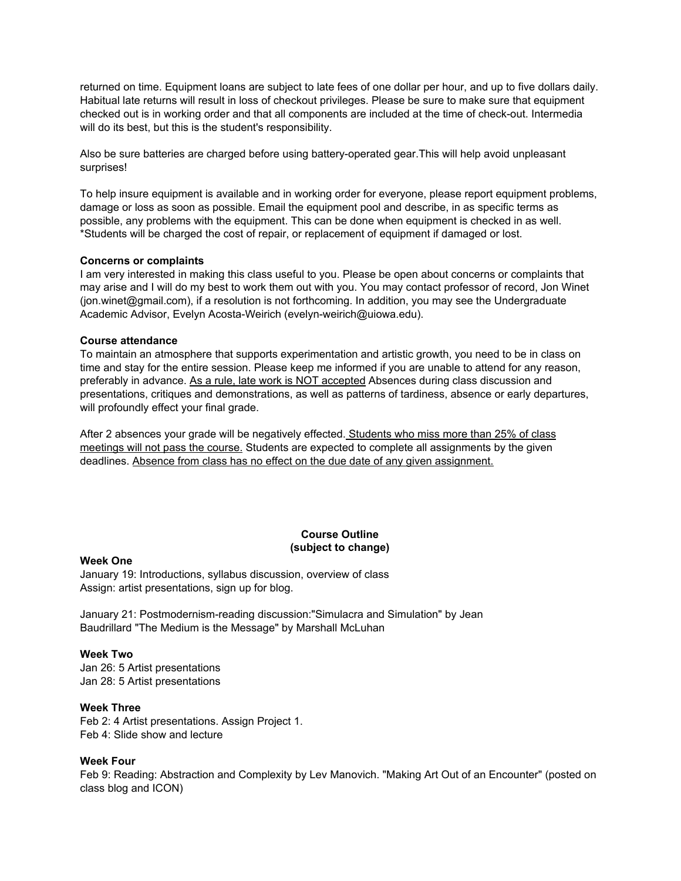returned on time. Equipment loans are subject to late fees of one dollar per hour, and up to five dollars daily. Habitual late returns will result in loss of checkout privileges. Please be sure to make sure that equipment checked out is in working order and that all components are included at the time of check-out. Intermedia will do its best, but this is the student's responsibility.

Also be sure batteries are charged before using battery-operated gear. This will help avoid unpleasant surprises!

To help insure equipment is available and in working order for everyone, please report equipment problems, damage or loss as soon as possible. Email the equipment pool and describe, in as specific terms as possible, any problems with the equipment. This can be done when equipment is checked in as well. \*Students will be charged the cost of repair, or replacement of equipment if damaged or lost.

## **Concerns or complaints**

I am very interested in making this class useful to you. Please be open about concerns or complaints that may arise and I will do my best to work them out with you. You may contact professor of record, Jon Winet (jon.winet@gmail.com), if a resolution is not forthcoming. In addition, you may see the Undergraduate Academic Advisor, Evelyn Acosta-Weirich (evelyn-weirich@uiowa.edu).

## **Course attendance**

To maintain an atmosphere that supports experimentation and artistic growth, you need to be in class on time and stay for the entire session. Please keep me informed if you are unable to attend for any reason, preferably in advance. As a rule, late work is NOT accepted Absences during class discussion and presentations, critiques and demonstrations, as well as patterns of tardiness, absence or early departures, will profoundly effect your final grade.

After 2 absences your grade will be negatively effected. Students who miss more than 25% of class meetings will not pass the course. Students are expected to complete all assignments by the given deadlines. Absence from class has no effect on the due date of any given assignment.

# **Course Outline (subject to change)**

## **Week One**

January 19: Introductions, syllabus discussion, overview of class Assign: artist presentations, sign up for blog.

January 21: Postmodernism-reading discussion:"Simulacra and Simulation" by Jean Baudrillard "The Medium is the Message" by Marshall McLuhan

## **Week Two**

Jan 26: 5 Artist presentations Jan 28: 5 Artist presentations

## **Week Three**

Feb 2: 4 Artist presentations. Assign Project 1. Feb 4: Slide show and lecture

# **Week Four**

Feb 9: Reading: Abstraction and Complexity by Lev Manovich. "Making Art Out of an Encounter" (posted on class blog and ICON)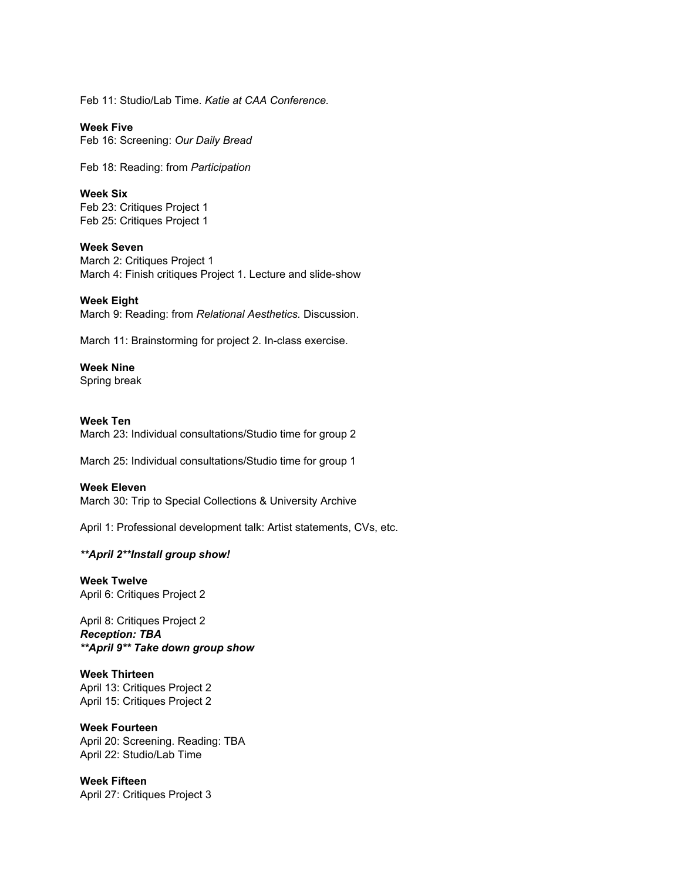Feb 11: Studio/Lab Time. *Katie at CAA Conference.*

**Week Five** Feb 16: Screening: *Our Daily Bread*

Feb 18: Reading: from *Participation*

**Week Six** Feb 23: Critiques Project 1 Feb 25: Critiques Project 1

**Week Seven** March 2: Critiques Project 1 March 4: Finish critiques Project 1. Lecture and slide-show

**Week Eight** March 9: Reading: from *Relational Aesthetics.* Discussion.

March 11: Brainstorming for project 2. In-class exercise.

# **Week Nine**

Spring break

# **Week Ten**

March 23: Individual consultations/Studio time for group 2

March 25: Individual consultations/Studio time for group 1

## **Week Eleven**

March 30: Trip to Special Collections & University Archive

April 1: Professional development talk: Artist statements, CVs, etc.

## *\*\*April 2\*\*Install group show!*

**Week Twelve** April 6: Critiques Project 2

April 8: Critiques Project 2 *Reception: TBA \*\*April 9\*\* Take down group show*

**Week Thirteen** April 13: Critiques Project 2 April 15: Critiques Project 2

## **Week Fourteen**

April 20: Screening. Reading: TBA April 22: Studio/Lab Time

**Week Fifteen** April 27: Critiques Project 3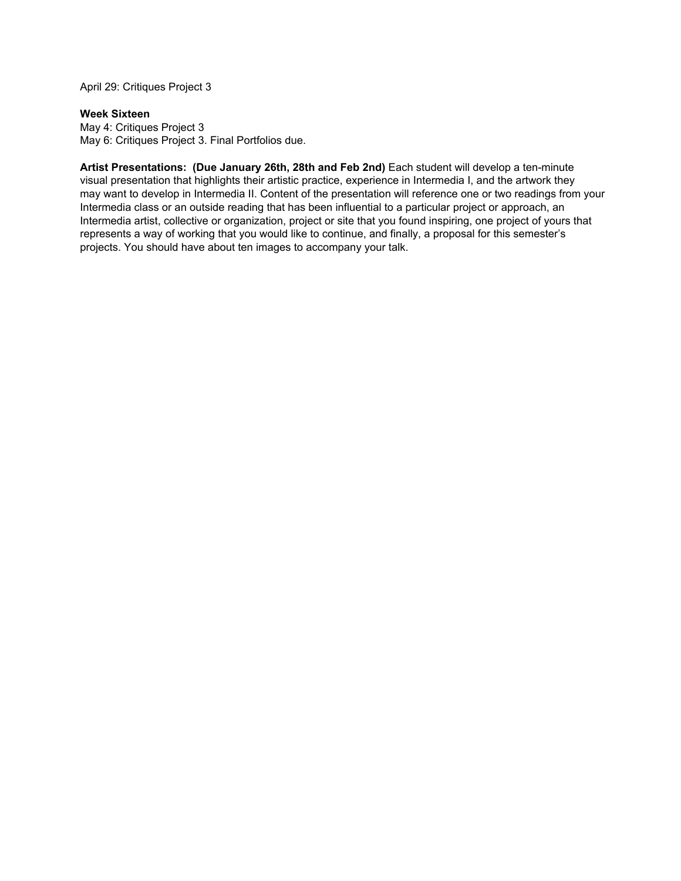April 29: Critiques Project 3

# **Week Sixteen**

May 4: Critiques Project 3 May 6: Critiques Project 3. Final Portfolios due.

**Artist Presentations: (Due January 26th, 28th and Feb 2nd)** Each student will develop a tenminute visual presentation that highlights their artistic practice, experience in Intermedia I, and the artwork they may want to develop in Intermedia II. Content of the presentation will reference one or two readings from your Intermedia class or an outside reading that has been influential to a particular project or approach, an Intermedia artist, collective or organization, project or site that you found inspiring, one project of yours that represents a way of working that you would like to continue, and finally, a proposal for this semester's projects. You should have about ten images to accompany your talk.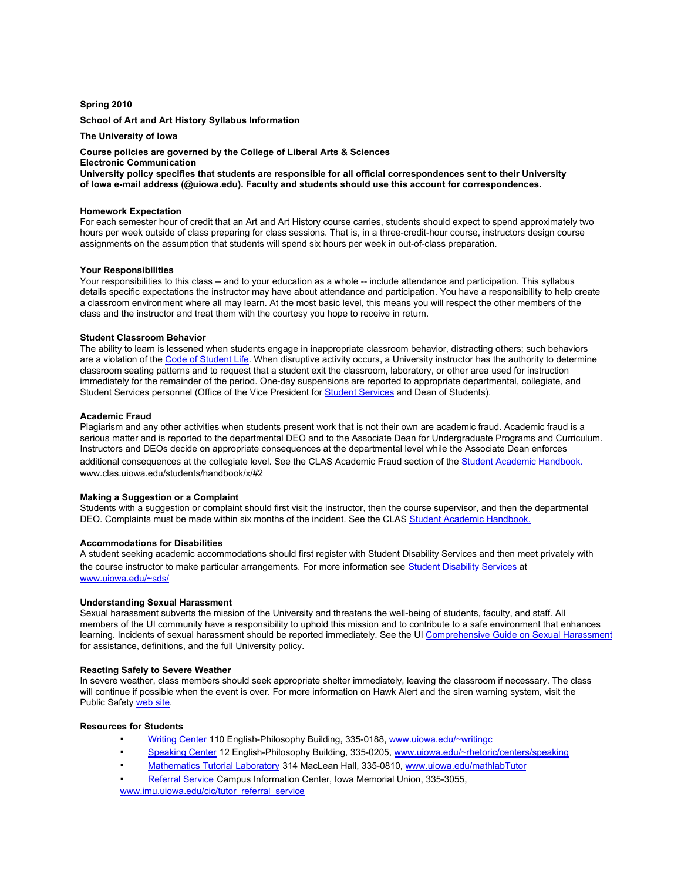## **Spring 2010**

#### **School of Art and Art History Syllabus Information**

## **The University of Iowa**

## **Course policies are governed by the College of Liberal Arts & Sciences**

**Electronic Communication**

**University policy specifies that students are responsible for all official correspondences sent to their University of Iowa email address (@uiowa.edu). Faculty and students should use this account for correspondences.**

#### **Homework Expectation**

For each semester hour of credit that an Art and Art History course carries, students should expect to spend approximately two hours per week outside of class preparing for class sessions. That is, in a three-credit-hour course, instructors design course assignments on the assumption that students will spend six hours per week in out-of-class preparation.

#### **Your Responsibilities**

Your responsibilities to this class -- and to your education as a whole -- include attendance and participation. This syllabus details specific expectations the instructor may have about attendance and participation. You have a responsibility to help create a classroom environment where all may learn. At the most basic level, this means you will respect the other members of the class and the instructor and treat them with the courtesy you hope to receive in return.

#### **Student Classroom Behavior**

The ability to learn is lessened when students engage in inappropriate classroom behavior, distracting others; such behaviors are a violation of the Code of [Student](http://www.google.com/url?q=http%3A%2F%2Fwww.uiowa.edu%2F%257Evpss%2Fpolicies%2Fii%2Fa.shtml%23main&sa=D&sntz=1&usg=AFQjCNHp-vLcHdGUlFeprMdjZNRuDZS3oQ) Life. When disruptive activity occurs, a University instructor has the authority to determine classroom seating patterns and to request that a student exit the classroom, laboratory, or other area used for instruction immediately for the remainder of the period. One-day suspensions are reported to appropriate departmental, collegiate, and Student [Services](http://www.google.com/url?q=http%3A%2F%2Fwww.uiowa.edu%2F%257Evpss%2Fwelcome%2Findex.html&sa=D&sntz=1&usg=AFQjCNHl-_-N537WHX6aAkwTxKa4GXRryA) personnel (Office of the Vice President for **Student Services** and Dean of Students).

#### **Academic Fraud**

Plagiarism and any other activities when students present work that is not their own are academic fraud. Academic fraud is a serious matter and is reported to the departmental DEO and to the Associate Dean for Undergraduate Programs and Curriculum. Instructors and DEOs decide on appropriate consequences at the departmental level while the Associate Dean enforces additional consequences at the collegiate level. See the CLAS Academic Fraud section of the Student Academic [Handbook.](http://www.google.com/url?q=http%3A%2F%2Fwww.clas.uiowa.edu%2Fstudents%2Fhandbook%2Fx%2F%232&sa=D&sntz=1&usg=AFQjCNHCDVDYhR1lH-nB-guc8oOXqOdZyA) www.clas.uiowa.edu/students/handbook/x/#2

## **Making a Suggestion or a Complaint**

Students with a suggestion or complaint should first visit the instructor, then the course supervisor, and then the departmental DEO. Complaints must be made within six months of the incident. See the CLAS Student Academic [Handbook.](http://www.google.com/url?q=http%3A%2F%2Fwww.clas.uiowa.edu%2Fstudents%2Fhandbook%2Fx%2F%235&sa=D&sntz=1&usg=AFQjCNG_tloHVVV_KWoH6JGkknhkF4OR3Q)

## **Accommodations for Disabilities**

A student seeking academic accommodations should first register with Student Disability Services and then meet privately with the course instructor to make particular arrangements. For more information see Student [Disability](http://www.google.com/url?q=http%3A%2F%2Fwww.uiowa.edu%2F%257Esds%2F&sa=D&sntz=1&usg=AFQjCNF5LBZVKQky-KXq2aGE4BfyUatS_Q) Services at [www.uiowa.edu/~sds/](http://www.google.com/url?q=http%3A%2F%2Fwww.uiowa.edu%2F%257Esds%2F&sa=D&sntz=1&usg=AFQjCNF5LBZVKQky-KXq2aGE4BfyUatS_Q)

#### **Understanding Sexual Harassment**

Sexual harassment subverts the mission of the University and threatens the well-being of students, faculty, and staff. All members of the UI community have a responsibility to uphold this mission and to contribute to a safe environment that enhances learning. Incidents of sexual harassment should be reported immediately. See the UI [Comprehensive](http://www.google.com/url?q=http%3A%2F%2Fwww.uiowa.edu%2F%257Eeod%2Fpolicies%2Fsexual-harassment-guide%2Findex.html&sa=D&sntz=1&usg=AFQjCNGHo441PVIgSkMsWdMaj0-zWL0qCg) Guide on Sexual Harassment for assistance, definitions, and the full University policy.

#### **Reacting Safely to Severe Weather**

In severe weather, class members should seek appropriate shelter immediately, leaving the classroom if necessary. The class will continue if possible when the event is over. For more information on Hawk Alert and the siren warning system, visit the Public Safety [web](http://www.google.com/url?q=http%3A%2F%2Fwww.uiowa.edu%2F%257Epubsfty%2Fintlinks.htm&sa=D&sntz=1&usg=AFQjCNHCf_X_w85Mz4mD783b4Bu2k8QMXA) site.

#### **Resources for Students**

- [Writing](http://www.google.com/url?q=http%3A%2F%2Fwww.uiowa.edu%2F%257Ewritingc%2F&sa=D&sntz=1&usg=AFQjCNFk6ceSXJzKZBTxiJ4nwCE_kdo1ww) Center 110 English-Philosophy Building, 335-0188, [www.uiowa.edu/~writingc](http://www.google.com/url?q=http%3A%2F%2Fwww.uiowa.edu%2F%257Ewritingc&sa=D&sntz=1&usg=AFQjCNHKKjbFnMZCp2aAH0I143H9A2Ksjg)
- [Speaking](http://www.google.com/url?q=http%3A%2F%2Fwww.uiowa.edu%2F%257Erhetoric%2Fcenters%2Fspeaking&sa=D&sntz=1&usg=AFQjCNEKHVq2oyczMZodBocI8vlm0hC0_g) Center 12 English-Philosophy Building, 335-0205, [www.uiowa.edu/~rhetoric/centers/speaking](http://www.google.com/url?q=http%3A%2F%2Fwww.uiowa.edu%2F%257Erhetoric%2Fcenters%2Fspeaking&sa=D&sntz=1&usg=AFQjCNEKHVq2oyczMZodBocI8vlm0hC0_g)
- [Mathematics](http://www.google.com/url?q=http%3A%2F%2Fwww.math.uiowa.edu%2Fmathlab%2Findex.htm&sa=D&sntz=1&usg=AFQjCNGUXDdtPnW42eA8AJtKxrv5UhX6wg) Tutorial Laboratory 314 MacLean Hall, 335-0810, [www.uiowa.edu/mathlab](http://www.google.com/url?q=http%3A%2F%2Fwww.math.uiowa.edu%2Fmathlab%2Findex.htm&sa=D&sntz=1&usg=AFQjCNGUXDdtPnW42eA8AJtKxrv5UhX6wg)[Tutor](http://www.google.com/url?q=http%3A%2F%2Fwww.imu.uiowa.edu%2Fcic%2Ftutor_referral_service&sa=D&sntz=1&usg=AFQjCNEUJVxEk3FKZVH0_SN3eGILf5Wmrw)
- [Referral](http://www.google.com/url?q=http%3A%2F%2Fwww.imu.uiowa.edu%2Fcic%2Ftutor_referral_service&sa=D&sntz=1&usg=AFQjCNEUJVxEk3FKZVH0_SN3eGILf5Wmrw) Service Campus Information Center, Iowa Memorial Union, 335-3055, [www.imu.uiowa.edu/cic/tutor\\_referral\\_service](http://www.google.com/url?q=http%3A%2F%2Fwww.imu.uiowa.edu%2Fcic%2Ftutor_referral_service&sa=D&sntz=1&usg=AFQjCNEUJVxEk3FKZVH0_SN3eGILf5Wmrw)